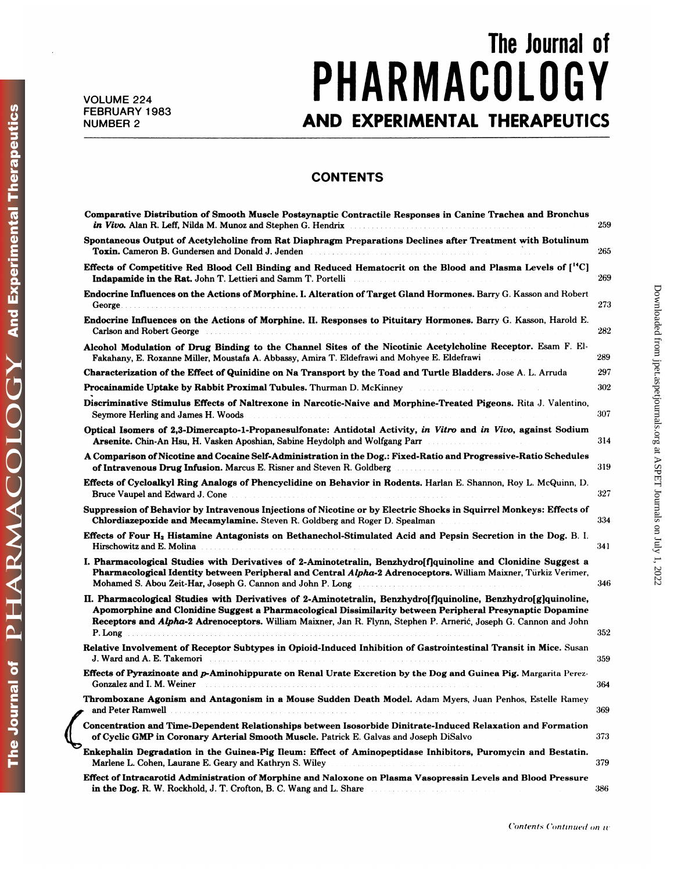## The Journal of<br> **OLOGY** VOLUME 224<br>FIAKMAGULUGY **FEBRUARY 1983**<br> **FEBRUARY 1983**<br> **AND EXPERIMENTAL THERAPEUTICS**<br>
CONTENTS

## **CONTENTS**

| <b>CONTENTS</b>                                                                                                                                                                                                                                                                                                                                                                                              |                                                                         |
|--------------------------------------------------------------------------------------------------------------------------------------------------------------------------------------------------------------------------------------------------------------------------------------------------------------------------------------------------------------------------------------------------------------|-------------------------------------------------------------------------|
| Comparative Distribution of Smooth Muscle Postsynaptic Contractile Responses in Canine Trachea and Bronchus<br>in Vivo. Alan R. Leff, Nilda M. Munoz and Stephen G. Hendrix                                                                                                                                                                                                                                  | 259                                                                     |
| Spontaneous Output of Acetylcholine from Rat Diaphragm Preparations Declines after Treatment with Botulinum<br>Toxin. Cameron B. Gundersen and Donald J. Jenden <b>Constantine Construction</b> Cameron B. Gundersen and Donald J. Jenden                                                                                                                                                                    | 265                                                                     |
| Effects of Competitive Red Blood Cell Binding and Reduced Hematocrit on the Blood and Plasma Levels of [ <sup>14</sup> C]<br>Indapamide in the Rat. John T. Lettieri and Samm T. Portelli                                                                                                                                                                                                                    | 269                                                                     |
| Endocrine Influences on the Actions of Morphine. I. Alteration of Target Gland Hormones. Barry G. Kasson and Robert                                                                                                                                                                                                                                                                                          | Downloaded from jpet.aspetjournals.org at ASPET Journals on July<br>273 |
| Endocrine Influences on the Actions of Morphine. II. Responses to Pituitary Hormones. Barry G. Kasson, Harold E.<br>Carlson and Robert George                                                                                                                                                                                                                                                                | 282                                                                     |
| Alcohol Modulation of Drug Binding to the Channel Sites of the Nicotinic Acetylcholine Receptor. Esam F. El-<br>Fakahany, E. Roxanne Miller, Moustafa A. Abbassy, Amira T. Eldefrawi and Mohyee E. Eldefrawi                                                                                                                                                                                                 | 289                                                                     |
| Characterization of the Effect of Quinidine on Na Transport by the Toad and Turtle Bladders. Jose A. L. Arruda                                                                                                                                                                                                                                                                                               | 297                                                                     |
| Procainamide Uptake by Rabbit Proximal Tubules. Thurman D. McKinney                                                                                                                                                                                                                                                                                                                                          | 302                                                                     |
| Discriminative Stimulus Effects of Naltrexone in Narcotic-Naive and Morphine-Treated Pigeons. Rita J. Valentino,<br>Seymore Herling and James H. Woods                                                                                                                                                                                                                                                       | 307                                                                     |
| Optical Isomers of 2,3-Dimercapto-1-Propanesulfonate: Antidotal Activity, in Vitro and in Vivo, against Sodium<br><b>Arsenite.</b> Chin-An Hsu, H. Vasken Aposhian, Sabine Heydolph and Wolfgang Parr<br>.                                                                                                                                                                                                   | 314                                                                     |
| A Comparison of Nicotine and Cocaine Self-Administration in the Dog.: Fixed-Ratio and Progressive-Ratio Schedules<br><b>of Intravenous Drug Infusion.</b> Marcus E. Risner and Steven R. Goldberg <b>Communist Constanting Communist Properties</b>                                                                                                                                                          | 319                                                                     |
| Effects of Cycloalkyl Ring Analogs of Phencyclidine on Behavior in Rodents. Harlan E. Shannon, Roy L. McQuinn, D.                                                                                                                                                                                                                                                                                            | 327                                                                     |
| Suppression of Behavior by Intravenous Injections of Nicotine or by Electric Shocks in Squirrel Monkeys: Effects of<br>Chlordiazepoxide and Mecamylamine. Steven R. Goldberg and Roger D. Spealman<br>a shekara ta 1970 a ƙ                                                                                                                                                                                  | 334                                                                     |
| Effects of Four H <sub>2</sub> Histamine Antagonists on Bethanechol-Stimulated Acid and Pepsin Secretion in the Dog. B. I.<br>Hirschowitz and E. Molina <b>Election Construction Construction</b> Construction of the <b>E.</b> Molina <b>Election Construction</b>                                                                                                                                          | 341                                                                     |
| I. Pharmacological Studies with Derivatives of 2-Aminotetralin, Benzhydro[f]quinoline and Clonidine Suggest a<br>Pharmacological Identity between Peripheral and Central Alpha-2 Adrenoceptors. William Maixner, Türkiz Verimer,<br>Mohamed S. Abou Zeit-Har, Joseph G. Cannon and John P. Long                                                                                                              | 346                                                                     |
| II. Pharmacological Studies with Derivatives of 2-Aminotetralin, Benzhydro[f]quinoline, Benzhydro[g]quinoline,<br>Apomorphine and Clonidine Suggest a Pharmacological Dissimilarity between Peripheral Presynaptic Dopamine<br>Receptors and <i>Alpha</i> -2 Adrenoceptors. William Maixner, Jan R. Flynn, Stephen P. Arnerić, Joseph G. Cannon and John                                                     | 352                                                                     |
| Relative Involvement of Receptor Subtypes in Opioid-Induced Inhibition of Gastrointestinal Transit in Mice. Susan<br>J. Ward and A. E. Takemori                                                                                                                                                                                                                                                              | 359                                                                     |
| Effects of Pyrazinoate and p-Aminohippurate on Renal Urate Excretion by the Dog and Guinea Pig. Margarita Perez-<br>Gonzalez and I. M. Weiner                                                                                                                                                                                                                                                                | 364                                                                     |
| <b>Thromboxane Agonism and Antagonism in a Mouse Sudden Death Model.</b> Adam Myers, Juan Penhos, Estelle Ramey<br>and Peter Ramwell                                                                                                                                                                                                                                                                         | 369                                                                     |
| Concentration and Time-Dependent Relationships between Isosorbide Dinitrate-Induced Relaxation and Formation<br>of Cyclic GMP in Coronary Arterial Smooth Muscle. Patrick E. Galvas and Joseph DiSalvo                                                                                                                                                                                                       | 373                                                                     |
| Enkephalin Degradation in the Guinea-Pig Ileum: Effect of Aminopeptidase Inhibitors, Puromycin and Bestatin.<br>Marlene L. Cohen, Laurane E. Geary and Kathryn S. Wiley<br>.<br>The second complete state of the second complete state of the second complete state of the second complete state of the second complete state of the second complete state of the second complete state of the second comple | 379                                                                     |
| Effect of Intracarotid Administration of Morphine and Naloxone on Plasma Vasopressin Levels and Blood Pressure<br>in the Dog. R. W. Rockhold, J. T. Crofton, B. C. Wang and L. Share                                                                                                                                                                                                                         | 386                                                                     |
| Contents Continued on iv                                                                                                                                                                                                                                                                                                                                                                                     |                                                                         |